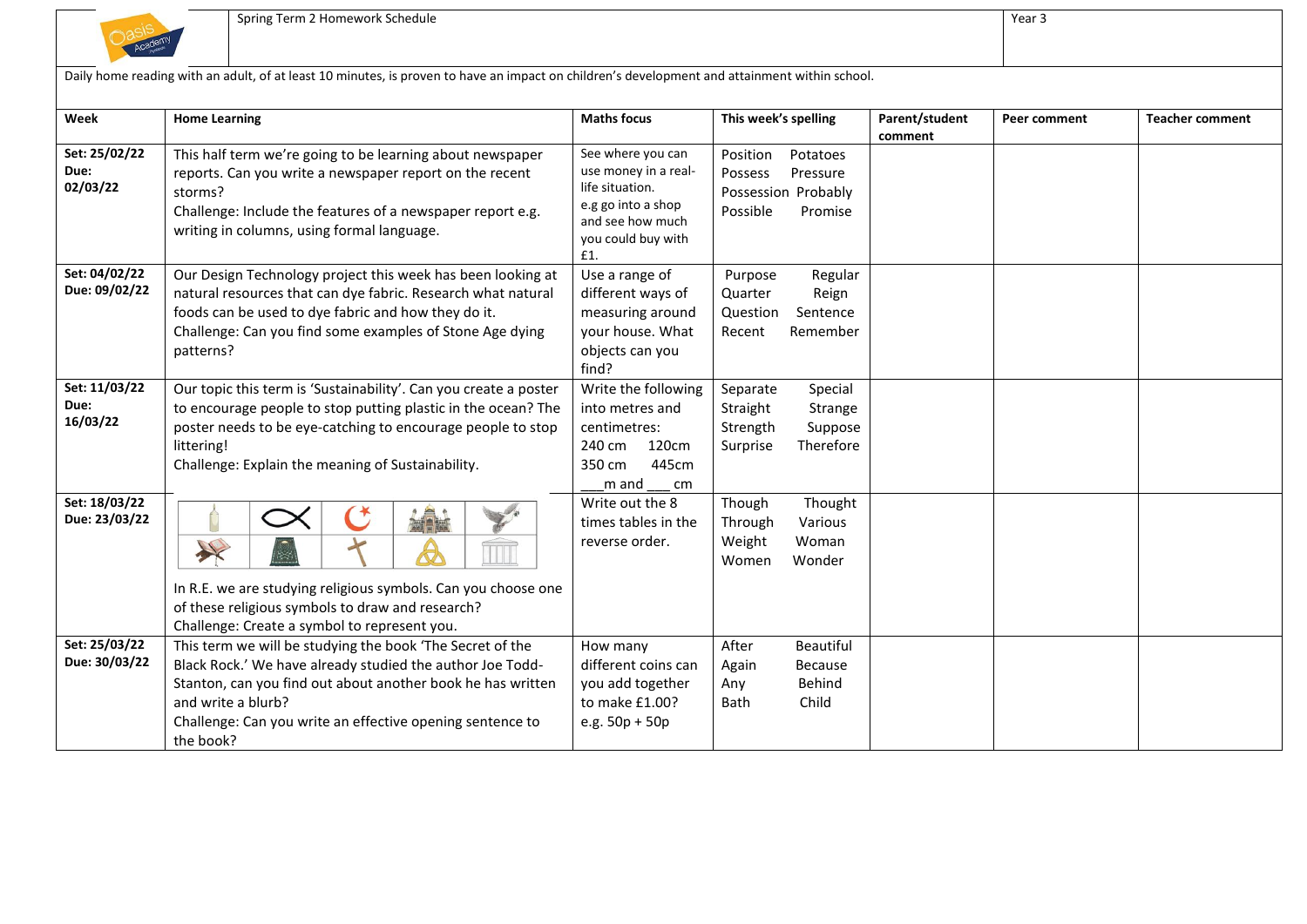

Challenge: Can you write an effective opening sentence to

the book?

|                                   | Daily home reading with an adult, of at least 10 minutes, is proven to have an impact on children's development and attainment within school.                                                                                                                       |                                                                                                                                     |                                                                                            |                           |              |                        |
|-----------------------------------|---------------------------------------------------------------------------------------------------------------------------------------------------------------------------------------------------------------------------------------------------------------------|-------------------------------------------------------------------------------------------------------------------------------------|--------------------------------------------------------------------------------------------|---------------------------|--------------|------------------------|
| Week                              | <b>Home Learning</b>                                                                                                                                                                                                                                                | <b>Maths focus</b>                                                                                                                  | This week's spelling                                                                       | Parent/student<br>comment | Peer comment | <b>Teacher comment</b> |
| Set: 25/02/22<br>Due:<br>02/03/22 | This half term we're going to be learning about newspaper<br>reports. Can you write a newspaper report on the recent<br>storms?<br>Challenge: Include the features of a newspaper report e.g.<br>writing in columns, using formal language.                         | See where you can<br>use money in a real-<br>life situation.<br>e.g go into a shop<br>and see how much<br>you could buy with<br>£1. | Position<br>Potatoes<br>Possess<br>Pressure<br>Possession Probably<br>Possible<br>Promise  |                           |              |                        |
| Set: 04/02/22<br>Due: 09/02/22    | Our Design Technology project this week has been looking at<br>natural resources that can dye fabric. Research what natural<br>foods can be used to dye fabric and how they do it.<br>Challenge: Can you find some examples of Stone Age dying<br>patterns?         | Use a range of<br>different ways of<br>measuring around<br>your house. What<br>objects can you<br>find?                             | Purpose<br>Regular<br>Quarter<br>Reign<br>Question<br>Sentence<br>Remember<br>Recent       |                           |              |                        |
| Set: 11/03/22<br>Due:<br>16/03/22 | Our topic this term is 'Sustainability'. Can you create a poster<br>to encourage people to stop putting plastic in the ocean? The<br>poster needs to be eye-catching to encourage people to stop<br>littering!<br>Challenge: Explain the meaning of Sustainability. | Write the following<br>into metres and<br>centimetres:<br>240 cm<br>120cm<br>445cm<br>350 cm<br>m and<br>cm                         | Separate<br>Special<br>Straight<br>Strange<br>Strength<br>Suppose<br>Therefore<br>Surprise |                           |              |                        |
| Set: 18/03/22<br>Due: 23/03/22    | X<br>In R.E. we are studying religious symbols. Can you choose one<br>of these religious symbols to draw and research?<br>Challenge: Create a symbol to represent you.                                                                                              | Write out the 8<br>times tables in the<br>reverse order.                                                                            | Thought<br>Though<br>Various<br>Through<br>Weight<br>Woman<br>Wonder<br>Women              |                           |              |                        |
| Set: 25/03/22<br>Due: 30/03/22    | This term we will be studying the book 'The Secret of the<br>Black Rock.' We have already studied the author Joe Todd-<br>Stanton, can you find out about another book he has written<br>and write a blurb?                                                         | How many<br>different coins can<br>you add together<br>to make £1.00?                                                               | After<br><b>Beautiful</b><br><b>Because</b><br>Again<br>Behind<br>Any<br>Child<br>Bath     |                           |              |                        |

to make £1.00? e.g. 50p + 50p